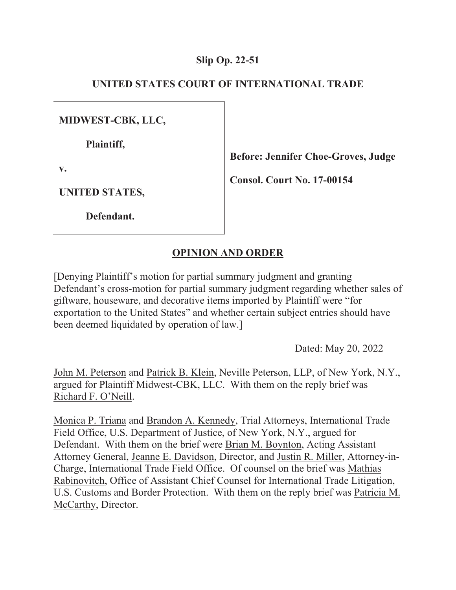# **Slip Op. 22-51**

# **UNITED STATES COURT OF INTERNATIONAL TRADE**

**MIDWEST-CBK, LLC,** 

 **Plaintiff,** 

**v.** 

**Before: Jennifer Choe-Groves, Judge** 

**Consol. Court No. 17-00154** 

**UNITED STATES,** 

 **Defendant.** 

# **OPINION AND ORDER**

[Denying Plaintiff's motion for partial summary judgment and granting Defendant's cross-motion for partial summary judgment regarding whether sales of giftware, houseware, and decorative items imported by Plaintiff were "for exportation to the United States" and whether certain subject entries should have been deemed liquidated by operation of law.]

Dated: May 20, 2022

John M. Peterson and Patrick B. Klein, Neville Peterson, LLP, of New York, N.Y., argued for Plaintiff Midwest-CBK, LLC. With them on the reply brief was Richard F. O'Neill.

Monica P. Triana and Brandon A. Kennedy, Trial Attorneys, International Trade Field Office, U.S. Department of Justice, of New York, N.Y., argued for Defendant. With them on the brief were Brian M. Boynton, Acting Assistant Attorney General, Jeanne E. Davidson, Director, and Justin R. Miller, Attorney-in-Charge, International Trade Field Office. Of counsel on the brief was Mathias Rabinovitch, Office of Assistant Chief Counsel for International Trade Litigation, U.S. Customs and Border Protection. With them on the reply brief was Patricia M. McCarthy, Director.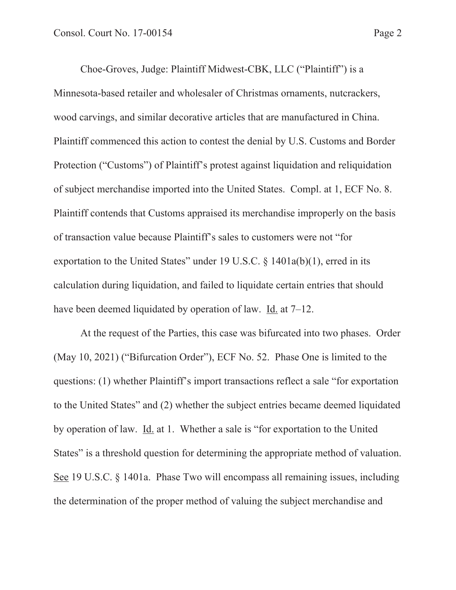Choe-Groves, Judge: Plaintiff Midwest-CBK, LLC ("Plaintiff") is a Minnesota-based retailer and wholesaler of Christmas ornaments, nutcrackers, wood carvings, and similar decorative articles that are manufactured in China. Plaintiff commenced this action to contest the denial by U.S. Customs and Border Protection ("Customs") of Plaintiff's protest against liquidation and reliquidation of subject merchandise imported into the United States. Compl. at 1, ECF No. 8. Plaintiff contends that Customs appraised its merchandise improperly on the basis of transaction value because Plaintiff's sales to customers were not "for exportation to the United States" under 19 U.S.C.  $\S$  1401a(b)(1), erred in its calculation during liquidation, and failed to liquidate certain entries that should have been deemed liquidated by operation of law. Id. at 7–12.

At the request of the Parties, this case was bifurcated into two phases. Order (May 10, 2021) ("Bifurcation Order"), ECF No. 52. Phase One is limited to the questions: (1) whether Plaintiff's import transactions reflect a sale "for exportation to the United States" and (2) whether the subject entries became deemed liquidated by operation of law. Id. at 1. Whether a sale is "for exportation to the United States" is a threshold question for determining the appropriate method of valuation. See 19 U.S.C. § 1401a. Phase Two will encompass all remaining issues, including the determination of the proper method of valuing the subject merchandise and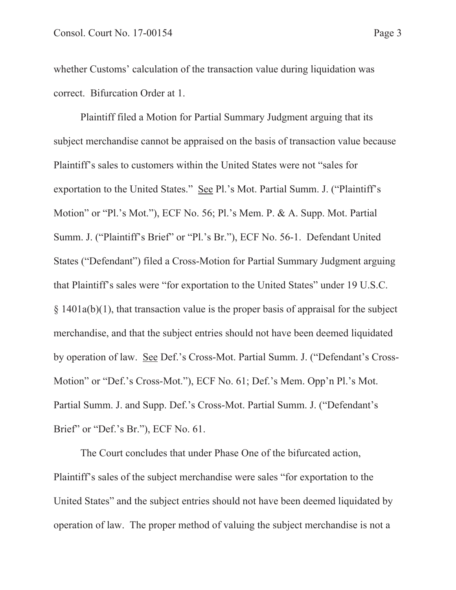whether Customs' calculation of the transaction value during liquidation was correct. Bifurcation Order at 1.

Plaintiff filed a Motion for Partial Summary Judgment arguing that its subject merchandise cannot be appraised on the basis of transaction value because Plaintiff's sales to customers within the United States were not "sales for exportation to the United States." See Pl.'s Mot. Partial Summ. J. ("Plaintiff's Motion" or "Pl.'s Mot."), ECF No. 56; Pl.'s Mem. P. & A. Supp. Mot. Partial Summ. J. ("Plaintiff's Brief" or "Pl.'s Br."), ECF No. 56-1. Defendant United States ("Defendant") filed a Cross-Motion for Partial Summary Judgment arguing that Plaintiff's sales were "for exportation to the United States" under 19 U.S.C.  $§$  1401a(b)(1), that transaction value is the proper basis of appraisal for the subject merchandise, and that the subject entries should not have been deemed liquidated by operation of law. See Def.'s Cross-Mot. Partial Summ. J. ("Defendant's Cross-Motion" or "Def.'s Cross-Mot."), ECF No. 61; Def.'s Mem. Opp'n Pl.'s Mot. Partial Summ. J. and Supp. Def.'s Cross-Mot. Partial Summ. J. ("Defendant's Brief" or "Def.'s Br."), ECF No. 61.

The Court concludes that under Phase One of the bifurcated action, Plaintiff's sales of the subject merchandise were sales "for exportation to the United States" and the subject entries should not have been deemed liquidated by operation of law. The proper method of valuing the subject merchandise is not a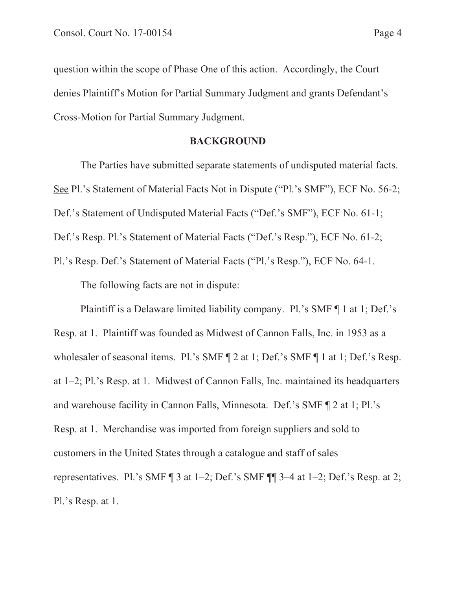question within the scope of Phase One of this action. Accordingly, the Court denies Plaintiff's Motion for Partial Summary Judgment and grants Defendant's Cross-Motion for Partial Summary Judgment.

# **BACKGROUND**

The Parties have submitted separate statements of undisputed material facts. See Pl.'s Statement of Material Facts Not in Dispute ("Pl.'s SMF"), ECF No. 56-2; Def.'s Statement of Undisputed Material Facts ("Def.'s SMF"), ECF No. 61-1;

Def.'s Resp. Pl.'s Statement of Material Facts ("Def.'s Resp."), ECF No. 61-2;

Pl.'s Resp. Def.'s Statement of Material Facts ("Pl.'s Resp."), ECF No. 64-1. The following facts are not in dispute:

Plaintiff is a Delaware limited liability company. Pl.'s SMF ¶ 1 at 1; Def.'s Resp. at 1. Plaintiff was founded as Midwest of Cannon Falls, Inc. in 1953 as a wholesaler of seasonal items. Pl.'s SMF ¶ 2 at 1; Def.'s SMF ¶ 1 at 1; Def.'s Resp. at 1–2; Pl.'s Resp. at 1. Midwest of Cannon Falls, Inc. maintained its headquarters and warehouse facility in Cannon Falls, Minnesota. Def.'s SMF ¶ 2 at 1; Pl.'s Resp. at 1. Merchandise was imported from foreign suppliers and sold to customers in the United States through a catalogue and staff of sales representatives. Pl.'s SMF  $\P$  3 at 1-2; Def.'s SMF  $\P$  $\P$  3-4 at 1-2; Def.'s Resp. at 2; Pl.'s Resp. at 1.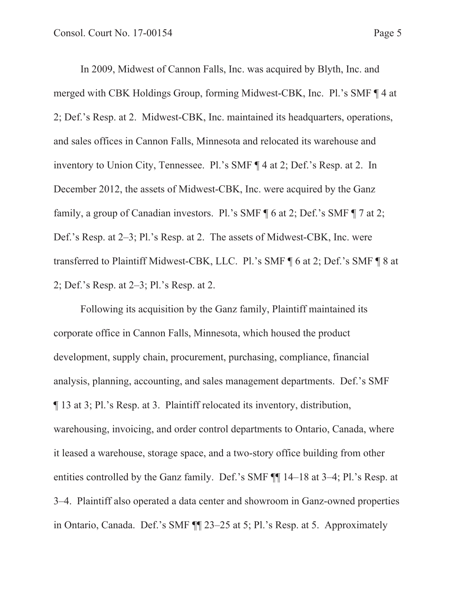In 2009, Midwest of Cannon Falls, Inc. was acquired by Blyth, Inc. and merged with CBK Holdings Group, forming Midwest-CBK, Inc. Pl.'s SMF ¶ 4 at 2; Def.'s Resp. at 2. Midwest-CBK, Inc. maintained its headquarters, operations, and sales offices in Cannon Falls, Minnesota and relocated its warehouse and inventory to Union City, Tennessee. Pl.'s SMF ¶ 4 at 2; Def.'s Resp. at 2. In December 2012, the assets of Midwest-CBK, Inc. were acquired by the Ganz family, a group of Canadian investors. Pl.'s SMF ¶ 6 at 2; Def.'s SMF ¶ 7 at 2; Def.'s Resp. at 2–3; Pl.'s Resp. at 2. The assets of Midwest-CBK, Inc. were transferred to Plaintiff Midwest-CBK, LLC. Pl.'s SMF ¶ 6 at 2; Def.'s SMF ¶ 8 at 2; Def.'s Resp. at 2–3; Pl.'s Resp. at 2.

Following its acquisition by the Ganz family, Plaintiff maintained its corporate office in Cannon Falls, Minnesota, which housed the product development, supply chain, procurement, purchasing, compliance, financial analysis, planning, accounting, and sales management departments. Def.'s SMF ¶ 13 at 3; Pl.'s Resp. at 3. Plaintiff relocated its inventory, distribution, warehousing, invoicing, and order control departments to Ontario, Canada, where it leased a warehouse, storage space, and a two-story office building from other entities controlled by the Ganz family. Def.'s SMF ¶¶ 14–18 at 3–4; Pl.'s Resp. at 3–4. Plaintiff also operated a data center and showroom in Ganz-owned properties in Ontario, Canada. Def.'s SMF ¶¶ 23–25 at 5; Pl.'s Resp. at 5. Approximately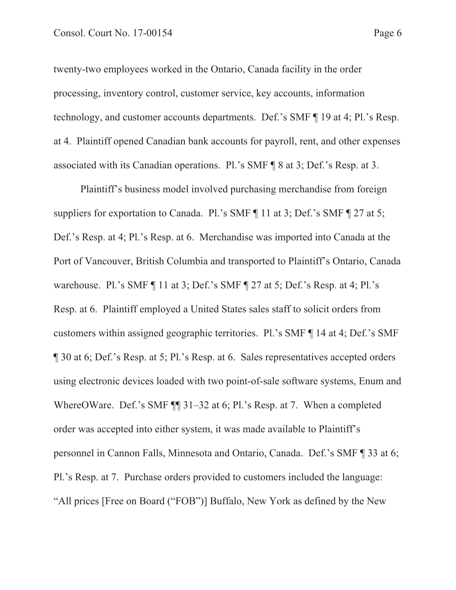twenty-two employees worked in the Ontario, Canada facility in the order processing, inventory control, customer service, key accounts, information technology, and customer accounts departments. Def.'s SMF ¶ 19 at 4; Pl.'s Resp. at 4. Plaintiff opened Canadian bank accounts for payroll, rent, and other expenses associated with its Canadian operations. Pl.'s SMF ¶ 8 at 3; Def.'s Resp. at 3.

Plaintiff's business model involved purchasing merchandise from foreign suppliers for exportation to Canada. Pl.'s SMF ¶ 11 at 3; Def.'s SMF ¶ 27 at 5; Def.'s Resp. at 4; Pl.'s Resp. at 6. Merchandise was imported into Canada at the Port of Vancouver, British Columbia and transported to Plaintiff's Ontario, Canada warehouse. Pl.'s SMF ¶ 11 at 3; Def.'s SMF ¶ 27 at 5; Def.'s Resp. at 4; Pl.'s Resp. at 6. Plaintiff employed a United States sales staff to solicit orders from customers within assigned geographic territories. Pl.'s SMF ¶ 14 at 4; Def.'s SMF ¶ 30 at 6; Def.'s Resp. at 5; Pl.'s Resp. at 6. Sales representatives accepted orders using electronic devices loaded with two point-of-sale software systems, Enum and WhereOWare. Def.'s SMF  $\P$  31–32 at 6; Pl.'s Resp. at 7. When a completed order was accepted into either system, it was made available to Plaintiff's personnel in Cannon Falls, Minnesota and Ontario, Canada. Def.'s SMF ¶ 33 at 6; Pl.'s Resp. at 7. Purchase orders provided to customers included the language: "All prices [Free on Board ("FOB")] Buffalo, New York as defined by the New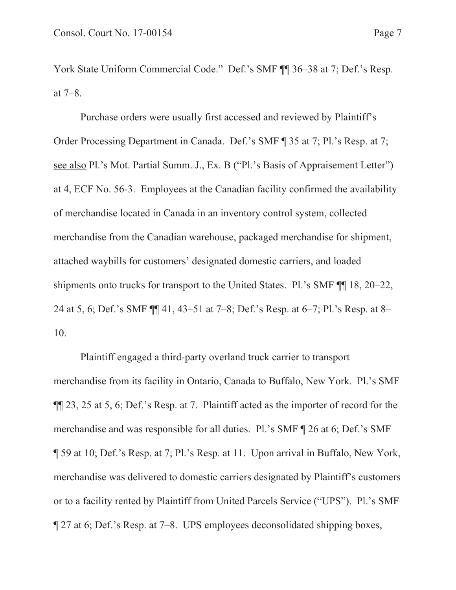York State Uniform Commercial Code." Def.'s SMF  $\P$  16–38 at 7; Def.'s Resp. at 7–8.

Purchase orders were usually first accessed and reviewed by Plaintiff's Order Processing Department in Canada. Def.'s SMF ¶ 35 at 7; Pl.'s Resp. at 7; see also Pl.'s Mot. Partial Summ. J., Ex. B ("Pl.'s Basis of Appraisement Letter") at 4, ECF No. 56-3. Employees at the Canadian facility confirmed the availability of merchandise located in Canada in an inventory control system, collected merchandise from the Canadian warehouse, packaged merchandise for shipment, attached waybills for customers' designated domestic carriers, and loaded shipments onto trucks for transport to the United States. Pl.'s SMF ¶¶ 18, 20–22, 24 at 5, 6; Def.'s SMF ¶¶ 41, 43–51 at 7–8; Def.'s Resp. at 6–7; Pl.'s Resp. at 8– 10.

Plaintiff engaged a third-party overland truck carrier to transport merchandise from its facility in Ontario, Canada to Buffalo, New York. Pl.'s SMF ¶¶ 23, 25 at 5, 6; Def.'s Resp. at 7. Plaintiff acted as the importer of record for the merchandise and was responsible for all duties. Pl.'s SMF ¶ 26 at 6; Def.'s SMF ¶ 59 at 10; Def.'s Resp. at 7; Pl.'s Resp. at 11. Upon arrival in Buffalo, New York, merchandise was delivered to domestic carriers designated by Plaintiff's customers or to a facility rented by Plaintiff from United Parcels Service ("UPS"). Pl.'s SMF ¶ 27 at 6; Def.'s Resp. at 7–8. UPS employees deconsolidated shipping boxes,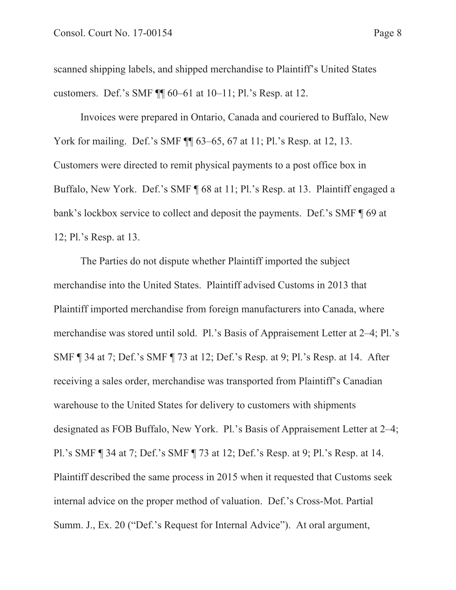scanned shipping labels, and shipped merchandise to Plaintiff's United States customers. Def.'s SMF ¶¶ 60–61 at 10–11; Pl.'s Resp. at 12.

Invoices were prepared in Ontario, Canada and couriered to Buffalo, New York for mailing. Def.'s SMF  $\P$  63–65, 67 at 11; Pl.'s Resp. at 12, 13. Customers were directed to remit physical payments to a post office box in Buffalo, New York. Def.'s SMF ¶ 68 at 11; Pl.'s Resp. at 13. Plaintiff engaged a bank's lockbox service to collect and deposit the payments. Def.'s SMF ¶ 69 at 12; Pl.'s Resp. at 13.

The Parties do not dispute whether Plaintiff imported the subject merchandise into the United States. Plaintiff advised Customs in 2013 that Plaintiff imported merchandise from foreign manufacturers into Canada, where merchandise was stored until sold. Pl.'s Basis of Appraisement Letter at 2–4; Pl.'s SMF ¶ 34 at 7; Def.'s SMF ¶ 73 at 12; Def.'s Resp. at 9; Pl.'s Resp. at 14. After receiving a sales order, merchandise was transported from Plaintiff's Canadian warehouse to the United States for delivery to customers with shipments designated as FOB Buffalo, New York. Pl.'s Basis of Appraisement Letter at 2–4; Pl.'s SMF ¶ 34 at 7; Def.'s SMF ¶ 73 at 12; Def.'s Resp. at 9; Pl.'s Resp. at 14. Plaintiff described the same process in 2015 when it requested that Customs seek internal advice on the proper method of valuation. Def.'s Cross-Mot. Partial Summ. J., Ex. 20 ("Def.'s Request for Internal Advice"). At oral argument,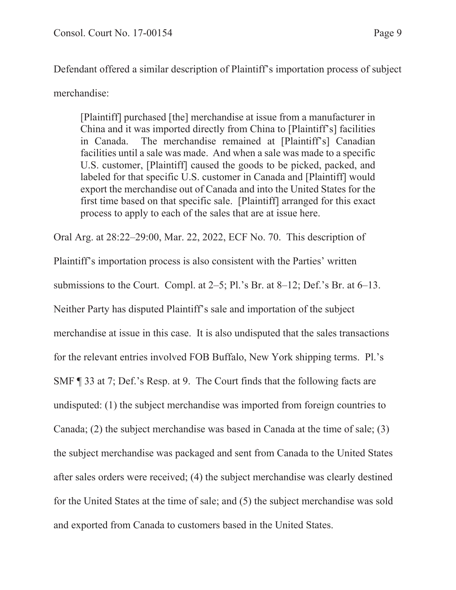Defendant offered a similar description of Plaintiff's importation process of subject merchandise:

[Plaintiff] purchased [the] merchandise at issue from a manufacturer in China and it was imported directly from China to [Plaintiff's] facilities in Canada. The merchandise remained at [Plaintiff's] Canadian facilities until a sale was made. And when a sale was made to a specific U.S. customer, [Plaintiff] caused the goods to be picked, packed, and labeled for that specific U.S. customer in Canada and [Plaintiff] would export the merchandise out of Canada and into the United States for the first time based on that specific sale. [Plaintiff] arranged for this exact process to apply to each of the sales that are at issue here.

Oral Arg. at 28:22–29:00, Mar. 22, 2022, ECF No. 70. This description of

Plaintiff's importation process is also consistent with the Parties' written

submissions to the Court. Compl. at 2–5; Pl.'s Br. at 8–12; Def.'s Br. at 6–13.

Neither Party has disputed Plaintiff's sale and importation of the subject

merchandise at issue in this case. It is also undisputed that the sales transactions

for the relevant entries involved FOB Buffalo, New York shipping terms. Pl.'s

SMF ¶ 33 at 7; Def.'s Resp. at 9. The Court finds that the following facts are

undisputed: (1) the subject merchandise was imported from foreign countries to

Canada; (2) the subject merchandise was based in Canada at the time of sale; (3)

the subject merchandise was packaged and sent from Canada to the United States after sales orders were received; (4) the subject merchandise was clearly destined

for the United States at the time of sale; and (5) the subject merchandise was sold and exported from Canada to customers based in the United States.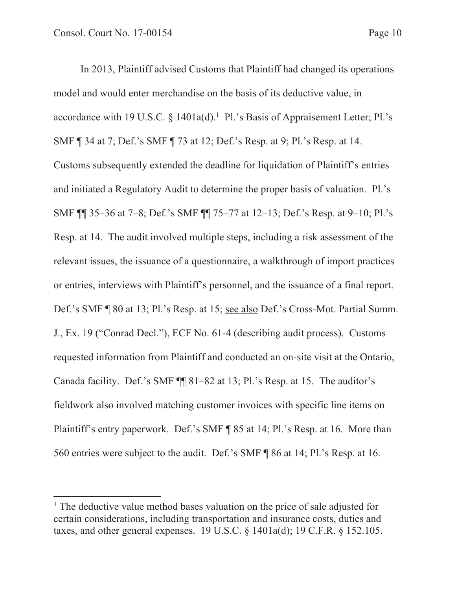In 2013, Plaintiff advised Customs that Plaintiff had changed its operations model and would enter merchandise on the basis of its deductive value, in accordance with 19 U.S.C.  $\S$  1401a(d).<sup>1</sup> Pl.'s Basis of Appraisement Letter; Pl.'s SMF ¶ 34 at 7; Def.'s SMF ¶ 73 at 12; Def.'s Resp. at 9; Pl.'s Resp. at 14. Customs subsequently extended the deadline for liquidation of Plaintiff's entries and initiated a Regulatory Audit to determine the proper basis of valuation. Pl.'s SMF ¶¶ 35–36 at 7–8; Def.'s SMF ¶¶ 75–77 at 12–13; Def.'s Resp. at 9–10; Pl.'s Resp. at 14. The audit involved multiple steps, including a risk assessment of the relevant issues, the issuance of a questionnaire, a walkthrough of import practices or entries, interviews with Plaintiff's personnel, and the issuance of a final report. Def.'s SMF ¶ 80 at 13; Pl.'s Resp. at 15; see also Def.'s Cross-Mot. Partial Summ. J., Ex. 19 ("Conrad Decl."), ECF No. 61-4 (describing audit process). Customs requested information from Plaintiff and conducted an on-site visit at the Ontario, Canada facility. Def.'s SMF ¶¶ 81–82 at 13; Pl.'s Resp. at 15. The auditor's fieldwork also involved matching customer invoices with specific line items on Plaintiff's entry paperwork. Def.'s SMF ¶ 85 at 14; Pl.'s Resp. at 16. More than 560 entries were subject to the audit. Def.'s SMF ¶ 86 at 14; Pl.'s Resp. at 16.

<sup>&</sup>lt;sup>1</sup> The deductive value method bases valuation on the price of sale adjusted for certain considerations, including transportation and insurance costs, duties and taxes, and other general expenses. 19 U.S.C. § 1401a(d); 19 C.F.R. § 152.105.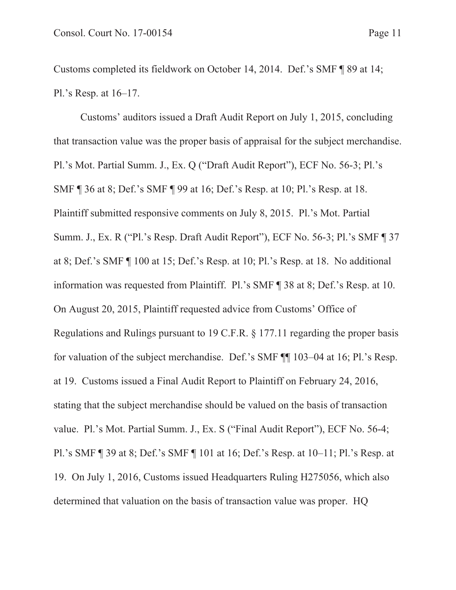Customs completed its fieldwork on October 14, 2014. Def.'s SMF ¶ 89 at 14; Pl.'s Resp. at 16–17.

Customs' auditors issued a Draft Audit Report on July 1, 2015, concluding that transaction value was the proper basis of appraisal for the subject merchandise. Pl.'s Mot. Partial Summ. J., Ex. Q ("Draft Audit Report"), ECF No. 56-3; Pl.'s SMF ¶ 36 at 8; Def.'s SMF ¶ 99 at 16; Def.'s Resp. at 10; Pl.'s Resp. at 18. Plaintiff submitted responsive comments on July 8, 2015. Pl.'s Mot. Partial Summ. J., Ex. R ("Pl.'s Resp. Draft Audit Report"), ECF No. 56-3; Pl.'s SMF ¶ 37 at 8; Def.'s SMF ¶ 100 at 15; Def.'s Resp. at 10; Pl.'s Resp. at 18. No additional information was requested from Plaintiff. Pl.'s SMF ¶ 38 at 8; Def.'s Resp. at 10. On August 20, 2015, Plaintiff requested advice from Customs' Office of Regulations and Rulings pursuant to 19 C.F.R. § 177.11 regarding the proper basis for valuation of the subject merchandise. Def.'s SMF ¶¶ 103–04 at 16; Pl.'s Resp. at 19. Customs issued a Final Audit Report to Plaintiff on February 24, 2016, stating that the subject merchandise should be valued on the basis of transaction value. Pl.'s Mot. Partial Summ. J., Ex. S ("Final Audit Report"), ECF No. 56-4; Pl.'s SMF ¶ 39 at 8; Def.'s SMF ¶ 101 at 16; Def.'s Resp. at 10–11; Pl.'s Resp. at 19. On July 1, 2016, Customs issued Headquarters Ruling H275056, which also determined that valuation on the basis of transaction value was proper. HQ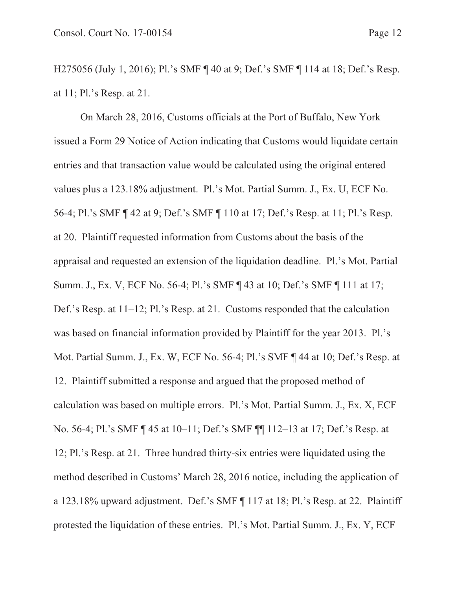H275056 (July 1, 2016); Pl.'s SMF ¶ 40 at 9; Def.'s SMF ¶ 114 at 18; Def.'s Resp. at 11; Pl.'s Resp. at 21.

On March 28, 2016, Customs officials at the Port of Buffalo, New York issued a Form 29 Notice of Action indicating that Customs would liquidate certain entries and that transaction value would be calculated using the original entered values plus a 123.18% adjustment. Pl.'s Mot. Partial Summ. J., Ex. U, ECF No. 56-4; Pl.'s SMF ¶ 42 at 9; Def.'s SMF ¶ 110 at 17; Def.'s Resp. at 11; Pl.'s Resp. at 20. Plaintiff requested information from Customs about the basis of the appraisal and requested an extension of the liquidation deadline. Pl.'s Mot. Partial Summ. J., Ex. V, ECF No. 56-4; Pl.'s SMF ¶ 43 at 10; Def.'s SMF ¶ 111 at 17; Def.'s Resp. at 11–12; Pl.'s Resp. at 21. Customs responded that the calculation was based on financial information provided by Plaintiff for the year 2013. Pl.'s Mot. Partial Summ. J., Ex. W, ECF No. 56-4; Pl.'s SMF ¶ 44 at 10; Def.'s Resp. at 12. Plaintiff submitted a response and argued that the proposed method of calculation was based on multiple errors. Pl.'s Mot. Partial Summ. J., Ex. X, ECF No. 56-4; Pl.'s SMF ¶ 45 at 10–11; Def.'s SMF ¶¶ 112–13 at 17; Def.'s Resp. at 12; Pl.'s Resp. at 21. Three hundred thirty-six entries were liquidated using the method described in Customs' March 28, 2016 notice, including the application of a 123.18% upward adjustment. Def.'s SMF ¶ 117 at 18; Pl.'s Resp. at 22. Plaintiff protested the liquidation of these entries. Pl.'s Mot. Partial Summ. J., Ex. Y, ECF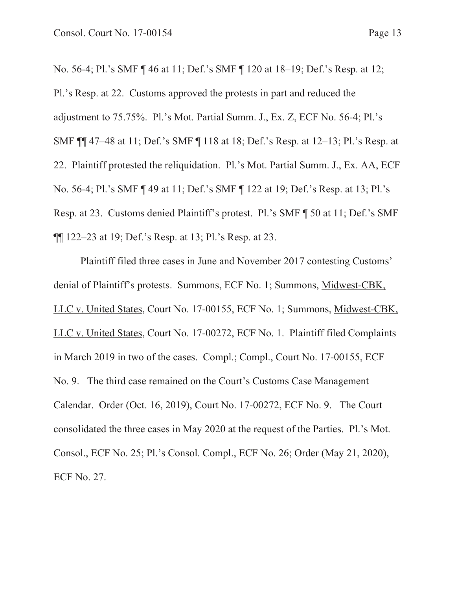No. 56-4; Pl.'s SMF ¶ 46 at 11; Def.'s SMF ¶ 120 at 18–19; Def.'s Resp. at 12; Pl.'s Resp. at 22. Customs approved the protests in part and reduced the adjustment to 75.75%. Pl.'s Mot. Partial Summ. J., Ex. Z, ECF No. 56-4; Pl.'s SMF ¶¶ 47–48 at 11; Def.'s SMF ¶ 118 at 18; Def.'s Resp. at 12–13; Pl.'s Resp. at 22. Plaintiff protested the reliquidation. Pl.'s Mot. Partial Summ. J., Ex. AA, ECF No. 56-4; Pl.'s SMF ¶ 49 at 11; Def.'s SMF ¶ 122 at 19; Def.'s Resp. at 13; Pl.'s Resp. at 23. Customs denied Plaintiff's protest. Pl.'s SMF ¶ 50 at 11; Def.'s SMF ¶¶ 122–23 at 19; Def.'s Resp. at 13; Pl.'s Resp. at 23.

Plaintiff filed three cases in June and November 2017 contesting Customs' denial of Plaintiff's protests. Summons, ECF No. 1; Summons, Midwest-CBK, LLC v. United States, Court No. 17-00155, ECF No. 1; Summons, Midwest-CBK, LLC v. United States, Court No. 17-00272, ECF No. 1. Plaintiff filed Complaints in March 2019 in two of the cases. Compl.; Compl., Court No. 17-00155, ECF No. 9. The third case remained on the Court's Customs Case Management Calendar. Order (Oct. 16, 2019), Court No. 17-00272, ECF No. 9. The Court consolidated the three cases in May 2020 at the request of the Parties. Pl.'s Mot. Consol., ECF No. 25; Pl.'s Consol. Compl., ECF No. 26; Order (May 21, 2020), ECF No. 27.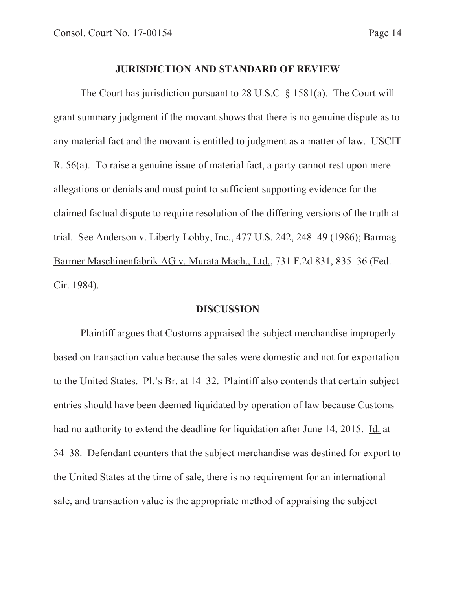#### **JURISDICTION AND STANDARD OF REVIEW**

The Court has jurisdiction pursuant to 28 U.S.C. § 1581(a). The Court will grant summary judgment if the movant shows that there is no genuine dispute as to any material fact and the movant is entitled to judgment as a matter of law. USCIT R. 56(a). To raise a genuine issue of material fact, a party cannot rest upon mere allegations or denials and must point to sufficient supporting evidence for the claimed factual dispute to require resolution of the differing versions of the truth at trial. See Anderson v. Liberty Lobby, Inc., 477 U.S. 242, 248–49 (1986); Barmag Barmer Maschinenfabrik AG v. Murata Mach., Ltd., 731 F.2d 831, 835–36 (Fed. Cir. 1984).

#### **DISCUSSION**

Plaintiff argues that Customs appraised the subject merchandise improperly based on transaction value because the sales were domestic and not for exportation to the United States. Pl.'s Br. at 14–32. Plaintiff also contends that certain subject entries should have been deemed liquidated by operation of law because Customs had no authority to extend the deadline for liquidation after June 14, 2015. Id. at 34–38. Defendant counters that the subject merchandise was destined for export to the United States at the time of sale, there is no requirement for an international sale, and transaction value is the appropriate method of appraising the subject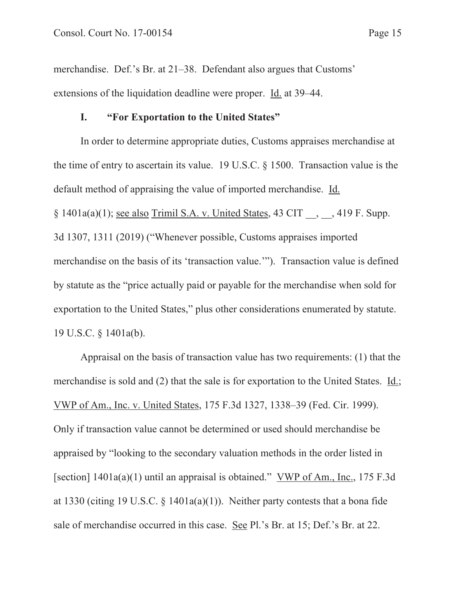merchandise. Def.'s Br. at 21–38. Defendant also argues that Customs' extensions of the liquidation deadline were proper. Id. at 39–44.

## **I. "For Exportation to the United States"**

In order to determine appropriate duties, Customs appraises merchandise at the time of entry to ascertain its value. 19 U.S.C. § 1500. Transaction value is the default method of appraising the value of imported merchandise. Id.  $§ 1401a(a)(1);$  see also Trimil S.A. v. United States, 43 CIT \_\_, \_\_, 419 F. Supp. 3d 1307, 1311 (2019) ("Whenever possible, Customs appraises imported merchandise on the basis of its 'transaction value.'"). Transaction value is defined by statute as the "price actually paid or payable for the merchandise when sold for exportation to the United States," plus other considerations enumerated by statute. 19 U.S.C. § 1401a(b).

Appraisal on the basis of transaction value has two requirements: (1) that the merchandise is sold and (2) that the sale is for exportation to the United States. Id.; VWP of Am., Inc. v. United States, 175 F.3d 1327, 1338–39 (Fed. Cir. 1999). Only if transaction value cannot be determined or used should merchandise be appraised by "looking to the secondary valuation methods in the order listed in [section] 1401a(a)(1) until an appraisal is obtained." VWP of Am., Inc., 175 F.3d at 1330 (citing 19 U.S.C.  $\S$  1401a(a)(1)). Neither party contests that a bona fide sale of merchandise occurred in this case. See Pl.'s Br. at 15; Def.'s Br. at 22.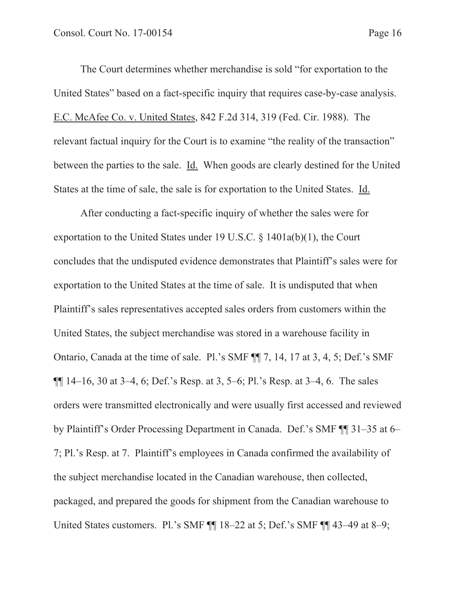The Court determines whether merchandise is sold "for exportation to the United States" based on a fact-specific inquiry that requires case-by-case analysis. E.C. McAfee Co. v. United States, 842 F.2d 314, 319 (Fed. Cir. 1988). The relevant factual inquiry for the Court is to examine "the reality of the transaction" between the parties to the sale. Id. When goods are clearly destined for the United States at the time of sale, the sale is for exportation to the United States. Id.

After conducting a fact-specific inquiry of whether the sales were for exportation to the United States under 19 U.S.C. § 1401a(b)(1), the Court concludes that the undisputed evidence demonstrates that Plaintiff's sales were for exportation to the United States at the time of sale. It is undisputed that when Plaintiff's sales representatives accepted sales orders from customers within the United States, the subject merchandise was stored in a warehouse facility in Ontario, Canada at the time of sale. Pl.'s SMF ¶¶ 7, 14, 17 at 3, 4, 5; Def.'s SMF  $\P\P$  14–16, 30 at 3–4, 6; Def.'s Resp. at 3, 5–6; Pl.'s Resp. at 3–4, 6. The sales orders were transmitted electronically and were usually first accessed and reviewed by Plaintiff's Order Processing Department in Canada. Def.'s SMF ¶¶ 31–35 at 6– 7; Pl.'s Resp. at 7. Plaintiff's employees in Canada confirmed the availability of the subject merchandise located in the Canadian warehouse, then collected, packaged, and prepared the goods for shipment from the Canadian warehouse to United States customers. Pl.'s SMF ¶¶ 18–22 at 5; Def.'s SMF ¶¶ 43–49 at 8–9;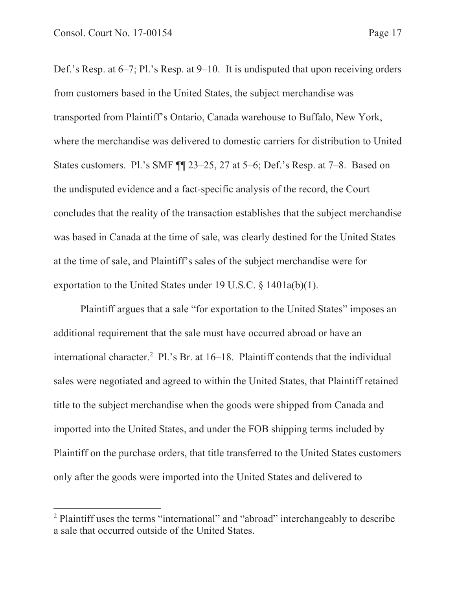Def.'s Resp. at 6–7; Pl.'s Resp. at 9–10. It is undisputed that upon receiving orders from customers based in the United States, the subject merchandise was transported from Plaintiff's Ontario, Canada warehouse to Buffalo, New York, where the merchandise was delivered to domestic carriers for distribution to United States customers. Pl.'s SMF ¶¶ 23–25, 27 at 5–6; Def.'s Resp. at 7–8. Based on the undisputed evidence and a fact-specific analysis of the record, the Court concludes that the reality of the transaction establishes that the subject merchandise was based in Canada at the time of sale, was clearly destined for the United States at the time of sale, and Plaintiff's sales of the subject merchandise were for exportation to the United States under 19 U.S.C. § 1401a(b)(1).

Plaintiff argues that a sale "for exportation to the United States" imposes an additional requirement that the sale must have occurred abroad or have an international character.<sup>2</sup> Pl.'s Br. at 16–18. Plaintiff contends that the individual sales were negotiated and agreed to within the United States, that Plaintiff retained title to the subject merchandise when the goods were shipped from Canada and imported into the United States, and under the FOB shipping terms included by Plaintiff on the purchase orders, that title transferred to the United States customers only after the goods were imported into the United States and delivered to

<sup>&</sup>lt;sup>2</sup> Plaintiff uses the terms "international" and "abroad" interchangeably to describe a sale that occurred outside of the United States.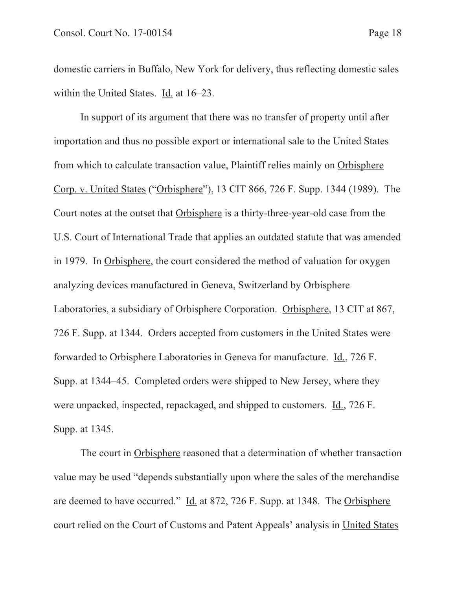domestic carriers in Buffalo, New York for delivery, thus reflecting domestic sales within the United States. Id. at 16–23.

In support of its argument that there was no transfer of property until after importation and thus no possible export or international sale to the United States from which to calculate transaction value, Plaintiff relies mainly on Orbisphere Corp. v. United States ("Orbisphere"), 13 CIT 866, 726 F. Supp. 1344 (1989). The Court notes at the outset that Orbisphere is a thirty-three-year-old case from the U.S. Court of International Trade that applies an outdated statute that was amended in 1979. In Orbisphere, the court considered the method of valuation for oxygen analyzing devices manufactured in Geneva, Switzerland by Orbisphere Laboratories, a subsidiary of Orbisphere Corporation. Orbisphere, 13 CIT at 867, 726 F. Supp. at 1344. Orders accepted from customers in the United States were forwarded to Orbisphere Laboratories in Geneva for manufacture. Id., 726 F. Supp. at 1344–45. Completed orders were shipped to New Jersey, where they were unpacked, inspected, repackaged, and shipped to customers. Id., 726 F. Supp. at 1345.

The court in Orbisphere reasoned that a determination of whether transaction value may be used "depends substantially upon where the sales of the merchandise are deemed to have occurred." Id. at 872, 726 F. Supp. at 1348. The Orbisphere court relied on the Court of Customs and Patent Appeals' analysis in United States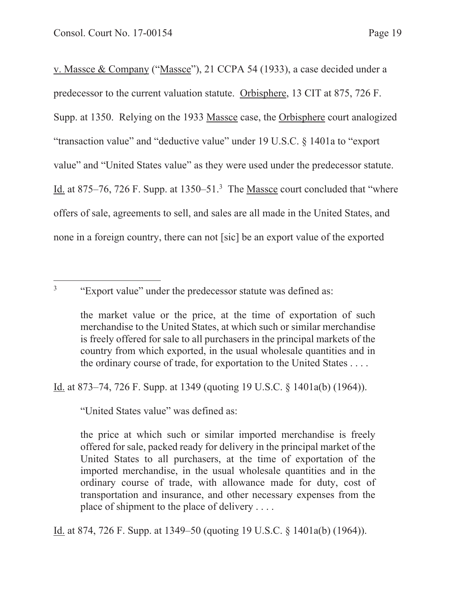v. Massce & Company ("Massce"), 21 CCPA 54 (1933), a case decided under a predecessor to the current valuation statute. Orbisphere, 13 CIT at 875, 726 F. Supp. at 1350. Relying on the 1933 Massce case, the Orbisphere court analogized "transaction value" and "deductive value" under 19 U.S.C. § 1401a to "export value" and "United States value" as they were used under the predecessor statute. Id. at 875–76, 726 F. Supp. at 1350–51.<sup>3</sup> The Massce court concluded that "where offers of sale, agreements to sell, and sales are all made in the United States, and none in a foreign country, there can not [sic] be an export value of the exported

<sup>3</sup> "Export value" under the predecessor statute was defined as:

the market value or the price, at the time of exportation of such merchandise to the United States, at which such or similar merchandise is freely offered for sale to all purchasers in the principal markets of the country from which exported, in the usual wholesale quantities and in the ordinary course of trade, for exportation to the United States . . . .

Id. at 873–74, 726 F. Supp. at 1349 (quoting 19 U.S.C. § 1401a(b) (1964)).

"United States value" was defined as:

the price at which such or similar imported merchandise is freely offered for sale, packed ready for delivery in the principal market of the United States to all purchasers, at the time of exportation of the imported merchandise, in the usual wholesale quantities and in the ordinary course of trade, with allowance made for duty, cost of transportation and insurance, and other necessary expenses from the place of shipment to the place of delivery . . . .

Id. at 874, 726 F. Supp. at 1349–50 (quoting 19 U.S.C. § 1401a(b) (1964)).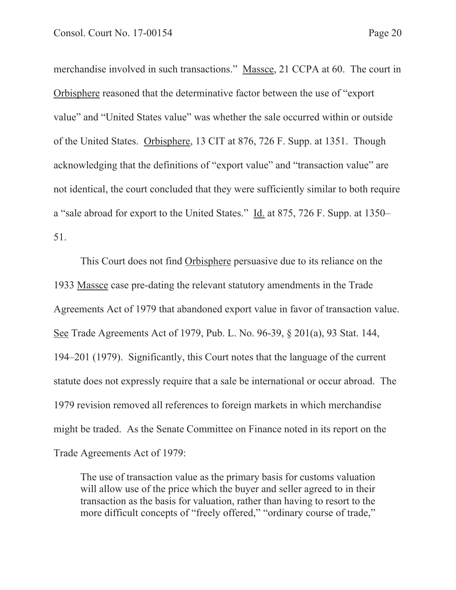merchandise involved in such transactions." Massce, 21 CCPA at 60. The court in Orbisphere reasoned that the determinative factor between the use of "export value" and "United States value" was whether the sale occurred within or outside of the United States. Orbisphere, 13 CIT at 876, 726 F. Supp. at 1351. Though acknowledging that the definitions of "export value" and "transaction value" are not identical, the court concluded that they were sufficiently similar to both require a "sale abroad for export to the United States." Id. at 875, 726 F. Supp. at 1350– 51.

This Court does not find Orbisphere persuasive due to its reliance on the 1933 Massce case pre-dating the relevant statutory amendments in the Trade Agreements Act of 1979 that abandoned export value in favor of transaction value. See Trade Agreements Act of 1979, Pub. L. No. 96-39, § 201(a), 93 Stat. 144, 194–201 (1979). Significantly, this Court notes that the language of the current statute does not expressly require that a sale be international or occur abroad. The 1979 revision removed all references to foreign markets in which merchandise might be traded. As the Senate Committee on Finance noted in its report on the Trade Agreements Act of 1979:

The use of transaction value as the primary basis for customs valuation will allow use of the price which the buyer and seller agreed to in their transaction as the basis for valuation, rather than having to resort to the more difficult concepts of "freely offered," "ordinary course of trade,"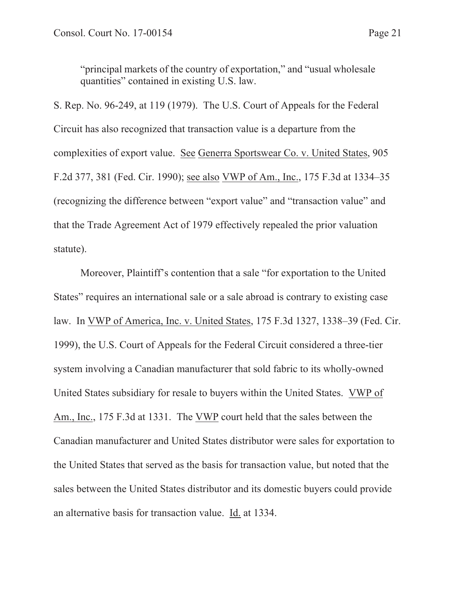"principal markets of the country of exportation," and "usual wholesale quantities" contained in existing U.S. law.

S. Rep. No. 96-249, at 119 (1979). The U.S. Court of Appeals for the Federal Circuit has also recognized that transaction value is a departure from the complexities of export value. See Generra Sportswear Co. v. United States, 905 F.2d 377, 381 (Fed. Cir. 1990); see also VWP of Am., Inc., 175 F.3d at 1334–35 (recognizing the difference between "export value" and "transaction value" and that the Trade Agreement Act of 1979 effectively repealed the prior valuation statute).

 Moreover, Plaintiff's contention that a sale "for exportation to the United States" requires an international sale or a sale abroad is contrary to existing case law. In VWP of America, Inc. v. United States, 175 F.3d 1327, 1338–39 (Fed. Cir. 1999), the U.S. Court of Appeals for the Federal Circuit considered a three-tier system involving a Canadian manufacturer that sold fabric to its wholly-owned United States subsidiary for resale to buyers within the United States. VWP of Am., Inc., 175 F.3d at 1331. The VWP court held that the sales between the Canadian manufacturer and United States distributor were sales for exportation to the United States that served as the basis for transaction value, but noted that the sales between the United States distributor and its domestic buyers could provide an alternative basis for transaction value. Id. at 1334.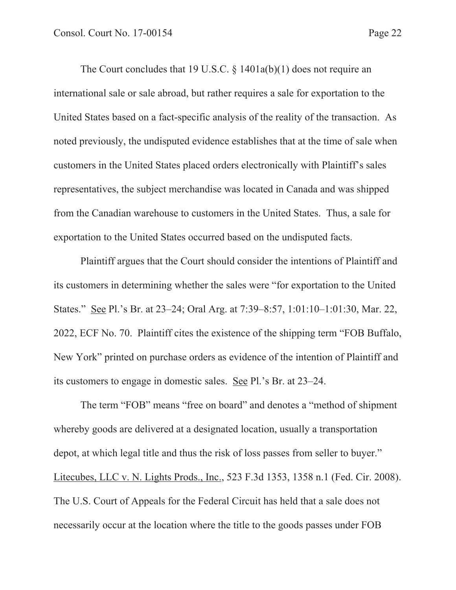The Court concludes that 19 U.S.C.  $\S$  1401a(b)(1) does not require an international sale or sale abroad, but rather requires a sale for exportation to the United States based on a fact-specific analysis of the reality of the transaction. As noted previously, the undisputed evidence establishes that at the time of sale when customers in the United States placed orders electronically with Plaintiff's sales representatives, the subject merchandise was located in Canada and was shipped from the Canadian warehouse to customers in the United States. Thus, a sale for exportation to the United States occurred based on the undisputed facts.

Plaintiff argues that the Court should consider the intentions of Plaintiff and its customers in determining whether the sales were "for exportation to the United States." See Pl.'s Br. at 23–24; Oral Arg. at 7:39–8:57, 1:01:10–1:01:30, Mar. 22, 2022, ECF No. 70. Plaintiff cites the existence of the shipping term "FOB Buffalo, New York" printed on purchase orders as evidence of the intention of Plaintiff and its customers to engage in domestic sales. See Pl.'s Br. at 23–24.

The term "FOB" means "free on board" and denotes a "method of shipment whereby goods are delivered at a designated location, usually a transportation depot, at which legal title and thus the risk of loss passes from seller to buyer." Litecubes, LLC v. N. Lights Prods., Inc., 523 F.3d 1353, 1358 n.1 (Fed. Cir. 2008). The U.S. Court of Appeals for the Federal Circuit has held that a sale does not necessarily occur at the location where the title to the goods passes under FOB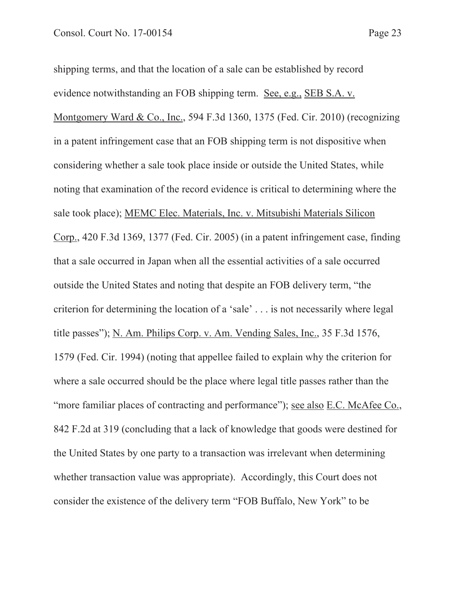shipping terms, and that the location of a sale can be established by record evidence notwithstanding an FOB shipping term. See, e.g., SEB S.A. v. Montgomery Ward & Co., Inc., 594 F.3d 1360, 1375 (Fed. Cir. 2010) (recognizing in a patent infringement case that an FOB shipping term is not dispositive when considering whether a sale took place inside or outside the United States, while noting that examination of the record evidence is critical to determining where the sale took place); MEMC Elec. Materials, Inc. v. Mitsubishi Materials Silicon Corp., 420 F.3d 1369, 1377 (Fed. Cir. 2005) (in a patent infringement case, finding that a sale occurred in Japan when all the essential activities of a sale occurred outside the United States and noting that despite an FOB delivery term, "the criterion for determining the location of a 'sale' . . . is not necessarily where legal title passes"); N. Am. Philips Corp. v. Am. Vending Sales, Inc., 35 F.3d 1576, 1579 (Fed. Cir. 1994) (noting that appellee failed to explain why the criterion for where a sale occurred should be the place where legal title passes rather than the "more familiar places of contracting and performance"); see also E.C. McAfee Co., 842 F.2d at 319 (concluding that a lack of knowledge that goods were destined for the United States by one party to a transaction was irrelevant when determining whether transaction value was appropriate). Accordingly, this Court does not consider the existence of the delivery term "FOB Buffalo, New York" to be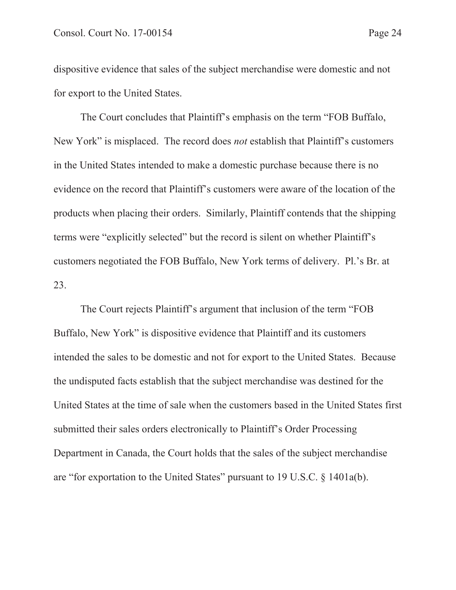dispositive evidence that sales of the subject merchandise were domestic and not for export to the United States.

The Court concludes that Plaintiff's emphasis on the term "FOB Buffalo, New York" is misplaced. The record does *not* establish that Plaintiff's customers in the United States intended to make a domestic purchase because there is no evidence on the record that Plaintiff's customers were aware of the location of the products when placing their orders. Similarly, Plaintiff contends that the shipping terms were "explicitly selected" but the record is silent on whether Plaintiff's customers negotiated the FOB Buffalo, New York terms of delivery. Pl.'s Br. at 23.

The Court rejects Plaintiff's argument that inclusion of the term "FOB Buffalo, New York" is dispositive evidence that Plaintiff and its customers intended the sales to be domestic and not for export to the United States. Because the undisputed facts establish that the subject merchandise was destined for the United States at the time of sale when the customers based in the United States first submitted their sales orders electronically to Plaintiff's Order Processing Department in Canada, the Court holds that the sales of the subject merchandise are "for exportation to the United States" pursuant to 19 U.S.C. § 1401a(b).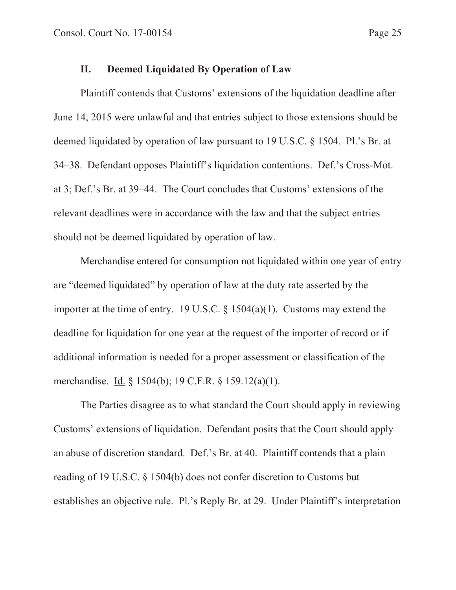# **II. Deemed Liquidated By Operation of Law**

 Plaintiff contends that Customs' extensions of the liquidation deadline after June 14, 2015 were unlawful and that entries subject to those extensions should be deemed liquidated by operation of law pursuant to 19 U.S.C. § 1504. Pl.'s Br. at 34–38. Defendant opposes Plaintiff's liquidation contentions. Def.'s Cross-Mot. at 3; Def.'s Br. at 39–44. The Court concludes that Customs' extensions of the relevant deadlines were in accordance with the law and that the subject entries should not be deemed liquidated by operation of law.

 Merchandise entered for consumption not liquidated within one year of entry are "deemed liquidated" by operation of law at the duty rate asserted by the importer at the time of entry. 19 U.S.C.  $\S$  1504(a)(1). Customs may extend the deadline for liquidation for one year at the request of the importer of record or if additional information is needed for a proper assessment or classification of the merchandise. Id. § 1504(b); 19 C.F.R. § 159.12(a)(1).

 The Parties disagree as to what standard the Court should apply in reviewing Customs' extensions of liquidation. Defendant posits that the Court should apply an abuse of discretion standard. Def.'s Br. at 40. Plaintiff contends that a plain reading of 19 U.S.C. § 1504(b) does not confer discretion to Customs but establishes an objective rule. Pl.'s Reply Br. at 29. Under Plaintiff's interpretation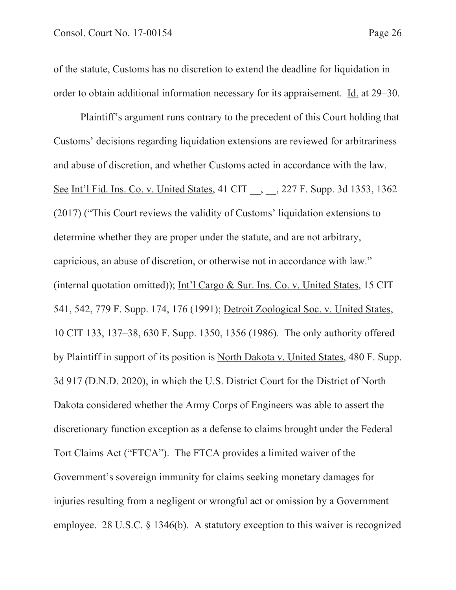of the statute, Customs has no discretion to extend the deadline for liquidation in order to obtain additional information necessary for its appraisement. Id. at 29–30.

Plaintiff's argument runs contrary to the precedent of this Court holding that Customs' decisions regarding liquidation extensions are reviewed for arbitrariness and abuse of discretion, and whether Customs acted in accordance with the law. See Int'l Fid. Ins. Co. v. United States, 41 CIT, 3, 227 F. Supp. 3d 1353, 1362 (2017) ("This Court reviews the validity of Customs' liquidation extensions to determine whether they are proper under the statute, and are not arbitrary, capricious, an abuse of discretion, or otherwise not in accordance with law." (internal quotation omitted)); Int'l Cargo & Sur. Ins. Co. v. United States, 15 CIT 541, 542, 779 F. Supp. 174, 176 (1991); Detroit Zoological Soc. v. United States, 10 CIT 133, 137–38, 630 F. Supp. 1350, 1356 (1986). The only authority offered by Plaintiff in support of its position is North Dakota v. United States, 480 F. Supp. 3d 917 (D.N.D. 2020), in which the U.S. District Court for the District of North Dakota considered whether the Army Corps of Engineers was able to assert the discretionary function exception as a defense to claims brought under the Federal Tort Claims Act ("FTCA"). The FTCA provides a limited waiver of the Government's sovereign immunity for claims seeking monetary damages for injuries resulting from a negligent or wrongful act or omission by a Government employee. 28 U.S.C. § 1346(b). A statutory exception to this waiver is recognized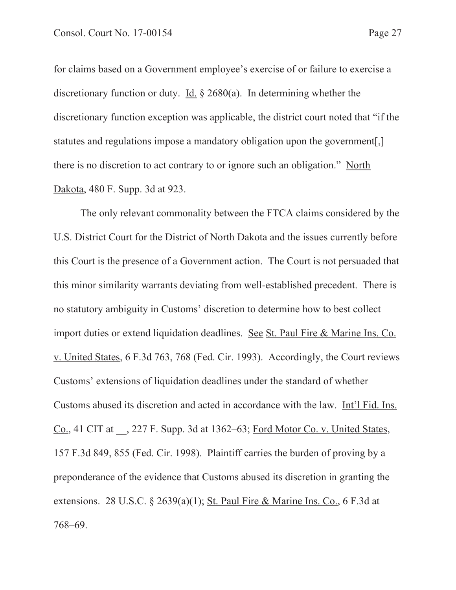for claims based on a Government employee's exercise of or failure to exercise a discretionary function or duty. Id. § 2680(a). In determining whether the discretionary function exception was applicable, the district court noted that "if the statutes and regulations impose a mandatory obligation upon the government[,] there is no discretion to act contrary to or ignore such an obligation." North Dakota, 480 F. Supp. 3d at 923.

The only relevant commonality between the FTCA claims considered by the U.S. District Court for the District of North Dakota and the issues currently before this Court is the presence of a Government action. The Court is not persuaded that this minor similarity warrants deviating from well-established precedent. There is no statutory ambiguity in Customs' discretion to determine how to best collect import duties or extend liquidation deadlines. See St. Paul Fire & Marine Ins. Co. v. United States, 6 F.3d 763, 768 (Fed. Cir. 1993). Accordingly, the Court reviews Customs' extensions of liquidation deadlines under the standard of whether Customs abused its discretion and acted in accordance with the law. Int'l Fid. Ins. Co., 41 CIT at \_\_, 227 F. Supp. 3d at 1362–63; Ford Motor Co. v. United States, 157 F.3d 849, 855 (Fed. Cir. 1998). Plaintiff carries the burden of proving by a preponderance of the evidence that Customs abused its discretion in granting the extensions. 28 U.S.C. § 2639(a)(1); St. Paul Fire & Marine Ins. Co., 6 F.3d at 768–69.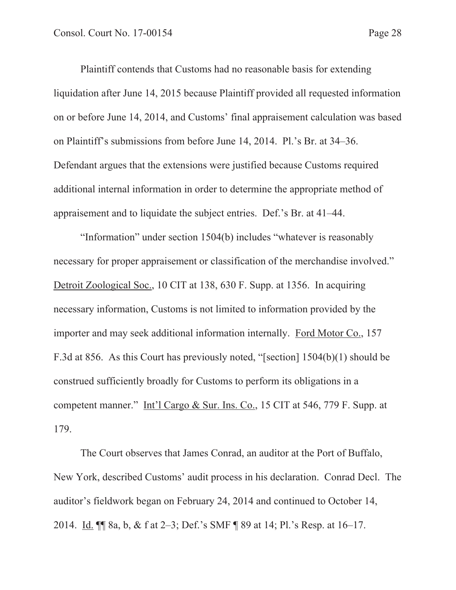Plaintiff contends that Customs had no reasonable basis for extending liquidation after June 14, 2015 because Plaintiff provided all requested information on or before June 14, 2014, and Customs' final appraisement calculation was based on Plaintiff's submissions from before June 14, 2014. Pl.'s Br. at 34–36. Defendant argues that the extensions were justified because Customs required additional internal information in order to determine the appropriate method of appraisement and to liquidate the subject entries. Def.'s Br. at 41–44.

 "Information" under section 1504(b) includes "whatever is reasonably necessary for proper appraisement or classification of the merchandise involved." Detroit Zoological Soc., 10 CIT at 138, 630 F. Supp. at 1356. In acquiring necessary information, Customs is not limited to information provided by the importer and may seek additional information internally. Ford Motor Co., 157 F.3d at 856. As this Court has previously noted, "[section] 1504(b)(1) should be construed sufficiently broadly for Customs to perform its obligations in a competent manner." Int'l Cargo & Sur. Ins. Co., 15 CIT at 546, 779 F. Supp. at 179.

 The Court observes that James Conrad, an auditor at the Port of Buffalo, New York, described Customs' audit process in his declaration. Conrad Decl. The auditor's fieldwork began on February 24, 2014 and continued to October 14, 2014. Id. ¶¶ 8a, b, & f at 2–3; Def.'s SMF ¶ 89 at 14; Pl.'s Resp. at 16–17.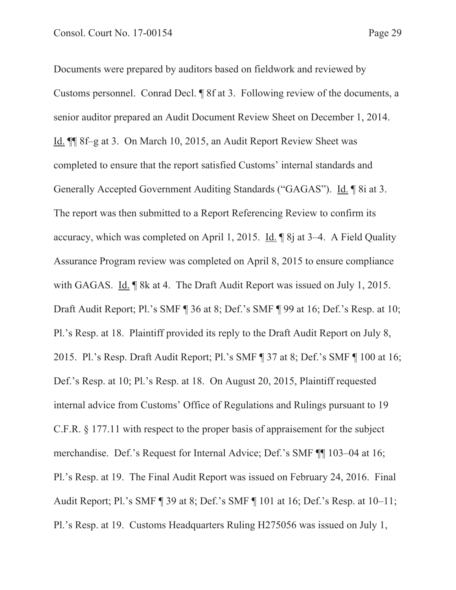Documents were prepared by auditors based on fieldwork and reviewed by Customs personnel. Conrad Decl. ¶ 8f at 3. Following review of the documents, a senior auditor prepared an Audit Document Review Sheet on December 1, 2014. Id. ¶¶ 8f–g at 3. On March 10, 2015, an Audit Report Review Sheet was completed to ensure that the report satisfied Customs' internal standards and Generally Accepted Government Auditing Standards ("GAGAS"). Id. ¶ 8i at 3. The report was then submitted to a Report Referencing Review to confirm its accuracy, which was completed on April 1, 2015. Id. ¶ 8j at 3–4. A Field Quality Assurance Program review was completed on April 8, 2015 to ensure compliance with GAGAS. Id. **We argume 18 at 4.** The Draft Audit Report was issued on July 1, 2015. Draft Audit Report; Pl.'s SMF ¶ 36 at 8; Def.'s SMF ¶ 99 at 16; Def.'s Resp. at 10; Pl.'s Resp. at 18. Plaintiff provided its reply to the Draft Audit Report on July 8, 2015. Pl.'s Resp. Draft Audit Report; Pl.'s SMF ¶ 37 at 8; Def.'s SMF ¶ 100 at 16; Def.'s Resp. at 10; Pl.'s Resp. at 18. On August 20, 2015, Plaintiff requested internal advice from Customs' Office of Regulations and Rulings pursuant to 19 C.F.R. § 177.11 with respect to the proper basis of appraisement for the subject merchandise. Def.'s Request for Internal Advice; Def.'s SMF ¶¶ 103–04 at 16; Pl.'s Resp. at 19. The Final Audit Report was issued on February 24, 2016. Final Audit Report; Pl.'s SMF ¶ 39 at 8; Def.'s SMF ¶ 101 at 16; Def.'s Resp. at 10–11; Pl.'s Resp. at 19. Customs Headquarters Ruling H275056 was issued on July 1,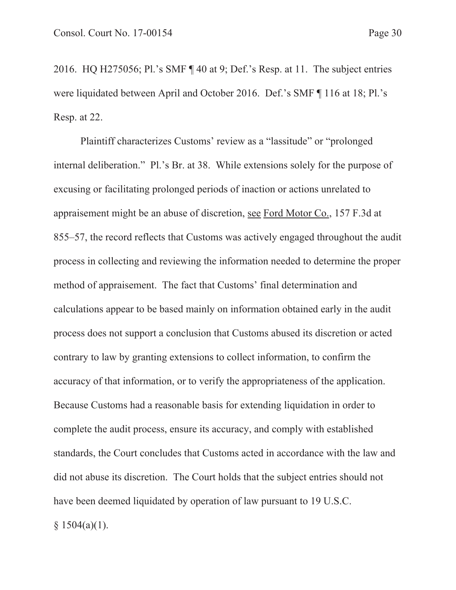2016. HQ H275056; Pl.'s SMF ¶ 40 at 9; Def.'s Resp. at 11. The subject entries were liquidated between April and October 2016. Def.'s SMF ¶ 116 at 18; Pl.'s Resp. at 22.

 Plaintiff characterizes Customs' review as a "lassitude" or "prolonged internal deliberation." Pl.'s Br. at 38. While extensions solely for the purpose of excusing or facilitating prolonged periods of inaction or actions unrelated to appraisement might be an abuse of discretion, see Ford Motor Co., 157 F.3d at 855–57, the record reflects that Customs was actively engaged throughout the audit process in collecting and reviewing the information needed to determine the proper method of appraisement. The fact that Customs' final determination and calculations appear to be based mainly on information obtained early in the audit process does not support a conclusion that Customs abused its discretion or acted contrary to law by granting extensions to collect information, to confirm the accuracy of that information, or to verify the appropriateness of the application. Because Customs had a reasonable basis for extending liquidation in order to complete the audit process, ensure its accuracy, and comply with established standards, the Court concludes that Customs acted in accordance with the law and did not abuse its discretion. The Court holds that the subject entries should not have been deemed liquidated by operation of law pursuant to 19 U.S.C.  $§ 1504(a)(1).$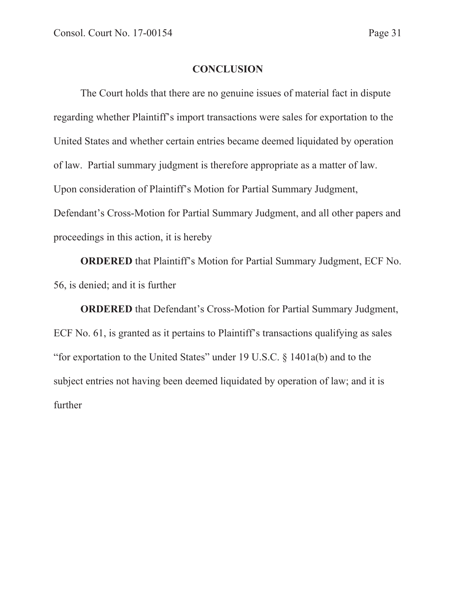## **CONCLUSION**

 The Court holds that there are no genuine issues of material fact in dispute regarding whether Plaintiff's import transactions were sales for exportation to the United States and whether certain entries became deemed liquidated by operation of law. Partial summary judgment is therefore appropriate as a matter of law. Upon consideration of Plaintiff's Motion for Partial Summary Judgment, Defendant's Cross-Motion for Partial Summary Judgment, and all other papers and proceedings in this action, it is hereby

**ORDERED** that Plaintiff's Motion for Partial Summary Judgment, ECF No. 56, is denied; and it is further

**ORDERED** that Defendant's Cross-Motion for Partial Summary Judgment, ECF No. 61, is granted as it pertains to Plaintiff's transactions qualifying as sales "for exportation to the United States" under 19 U.S.C. § 1401a(b) and to the subject entries not having been deemed liquidated by operation of law; and it is further